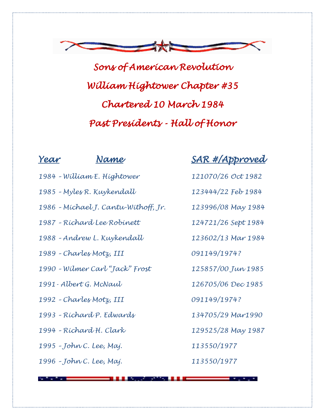

*Sons of American Revolution William Hightower Chapter #35 Chartered 10 March 1984 Past Presidents - Hall of Honor* 

| 1984 - William E. Hightower<br>1985 - Myles R. Kuykendall | rear | Name |
|-----------------------------------------------------------|------|------|
|                                                           |      |      |
|                                                           |      |      |

*– Andrew L. Kuykendall 123602/13 Mar 1984*

*– Charles Motz, III 091149/1974?*

*– Wilmer Carl "Jack" Frost 125857/00 Jun 1985*

*1991- Albert G. McNaul 126705/06 Dec 1985*

*– Charles Motz, III 091149/1974?*

*– Richard P. Edwards 134705/29 Mar1990*

*– Richard H. Clark 129525/28 May 1987*

*– John C. Lee, Maj. 113550/1977*

*– John C. Lee, Maj. 113550/1977*

## *Year Name SAR #/Approved*

- *– William E. Hightower 121070/26 Oct 1982*
- *– Myles R. Kuykendall 123444/22 Feb 1984*
- *– Michael J. Cantu-Withoff, Jr. 123996/08 May 1984*

*– Richard Lee Robinett 124721/26 Sept 1984*

- 
-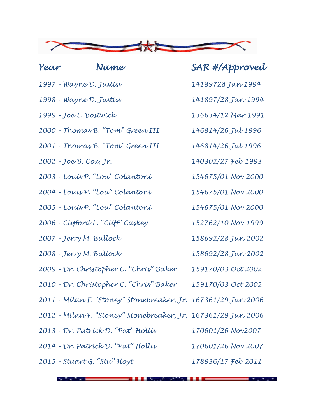

## *Year Name SAR #/Approved – Wayne D. Justiss 14189728 Jan 1994 – Wayne D. Justiss 141897/28 Jan 1994 – Joe E. Bostwick 136634/12 Mar 1991 – Thomas B. "Tom" Green III 146814/26 Jul 1996 – Thomas B. "Tom" Green III 146814/26 Jul 1996 – Joe B. Cox, Jr. 140302/27 Feb 1993 – Louis P. "Lou" Colantoni 154675/01 Nov 2000 – Louis P. "Lou" Colantoni 154675/01 Nov 2000 – Louis P. "Lou" Colantoni 154675/01 Nov 2000 – Clifford L. "Cliff" Caskey 152762/10 Nov 1999 – Jerry M. Bullock 158692/28 Jun 2002 – Jerry M. Bullock 158692/28 Jun 2002 – Dr. Christopher C. "Chris" Baker 159170/03 Oct 2002 – Dr. Christopher C. "Chris" Baker 159170/03 Oct 2002 – Milan F. "Stoney" Stonebreaker, Jr. 167361/29 Jun 2006 – Milan F. "Stoney" Stonebreaker, Jr. 167361/29 Jun 2006 – Dr. Patrick D. "Pat" Hollis 170601/26 Nov2007 – Dr. Patrick D. "Pat" Hollis 170601/26 Nov 2007 – Stuart G. "Stu" Hoyt 178936/17 Feb 2011*